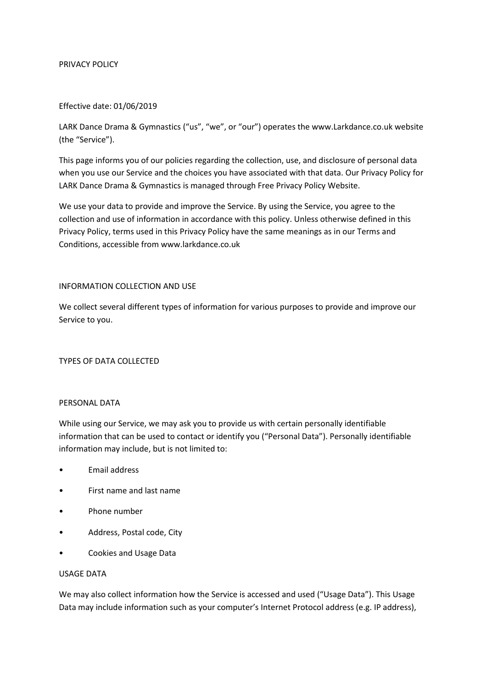#### PRIVACY POLICY

#### Effective date: 01/06/2019

LARK Dance Drama & Gymnastics ("us", "we", or "our") operates the www.Larkdance.co.uk website (the "Service").

This page informs you of our policies regarding the collection, use, and disclosure of personal data when you use our Service and the choices you have associated with that data. Our Privacy Policy for LARK Dance Drama & Gymnastics is managed through Free Privacy Policy Website.

We use your data to provide and improve the Service. By using the Service, you agree to the collection and use of information in accordance with this policy. Unless otherwise defined in this Privacy Policy, terms used in this Privacy Policy have the same meanings as in our Terms and Conditions, accessible from www.larkdance.co.uk

#### INFORMATION COLLECTION AND USE

We collect several different types of information for various purposes to provide and improve our Service to you.

### TYPES OF DATA COLLECTED

### PERSONAL DATA

While using our Service, we may ask you to provide us with certain personally identifiable information that can be used to contact or identify you ("Personal Data"). Personally identifiable information may include, but is not limited to:

- Email address
- First name and last name
- Phone number
- Address, Postal code, City
- Cookies and Usage Data

#### USAGE DATA

We may also collect information how the Service is accessed and used ("Usage Data"). This Usage Data may include information such as your computer's Internet Protocol address (e.g. IP address),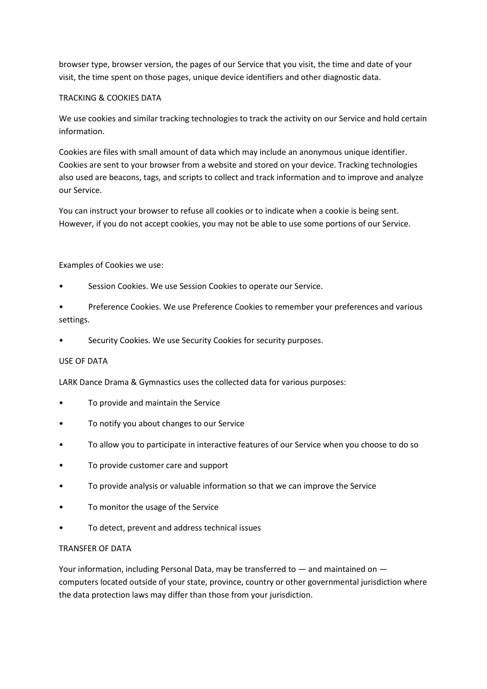browser type, browser version, the pages of our Service that you visit, the time and date of your visit, the time spent on those pages, unique device identifiers and other diagnostic data.

## TRACKING & COOKIES DATA

We use cookies and similar tracking technologies to track the activity on our Service and hold certain information.

Cookies are files with small amount of data which may include an anonymous unique identifier. Cookies are sent to your browser from a website and stored on your device. Tracking technologies also used are beacons, tags, and scripts to collect and track information and to improve and analyze our Service.

You can instruct your browser to refuse all cookies or to indicate when a cookie is being sent. However, if you do not accept cookies, you may not be able to use some portions of our Service.

### Examples of Cookies we use:

- Session Cookies. We use Session Cookies to operate our Service.
- Preference Cookies. We use Preference Cookies to remember your preferences and various settings.
- Security Cookies. We use Security Cookies for security purposes.

### USE OF DATA

LARK Dance Drama & Gymnastics uses the collected data for various purposes:

- To provide and maintain the Service
- To notify you about changes to our Service
- To allow you to participate in interactive features of our Service when you choose to do so
- To provide customer care and support
- To provide analysis or valuable information so that we can improve the Service
- To monitor the usage of the Service
- To detect, prevent and address technical issues

### TRANSFER OF DATA

Your information, including Personal Data, may be transferred to — and maintained on computers located outside of your state, province, country or other governmental jurisdiction where the data protection laws may differ than those from your jurisdiction.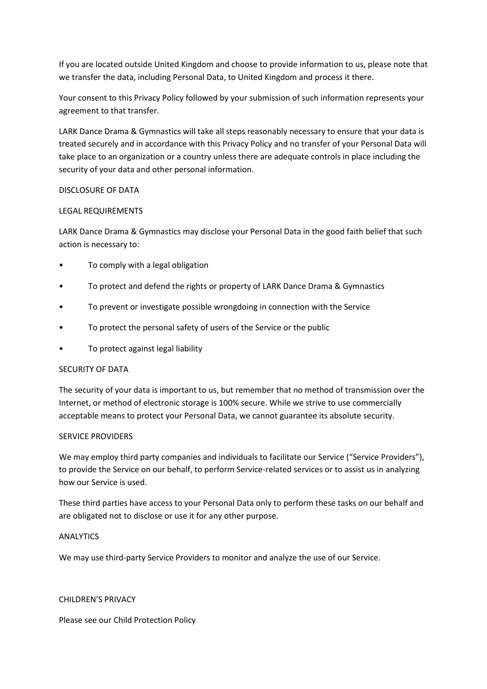If you are located outside United Kingdom and choose to provide information to us, please note that we transfer the data, including Personal Data, to United Kingdom and process it there.

Your consent to this Privacy Policy followed by your submission of such information represents your agreement to that transfer.

LARK Dance Drama & Gymnastics will take all steps reasonably necessary to ensure that your data is treated securely and in accordance with this Privacy Policy and no transfer of your Personal Data will take place to an organization or a country unless there are adequate controls in place including the security of your data and other personal information.

### DISCLOSURE OF DATA

### LEGAL REQUIREMENTS

LARK Dance Drama & Gymnastics may disclose your Personal Data in the good faith belief that such action is necessary to:

- To comply with a legal obligation
- To protect and defend the rights or property of LARK Dance Drama & Gymnastics
- To prevent or investigate possible wrongdoing in connection with the Service
- To protect the personal safety of users of the Service or the public
- To protect against legal liability

# SECURITY OF DATA

The security of your data is important to us, but remember that no method of transmission over the Internet, or method of electronic storage is 100% secure. While we strive to use commercially acceptable means to protect your Personal Data, we cannot guarantee its absolute security.

### SERVICE PROVIDERS

We may employ third party companies and individuals to facilitate our Service ("Service Providers"), to provide the Service on our behalf, to perform Service-related services or to assist us in analyzing how our Service is used.

These third parties have access to your Personal Data only to perform these tasks on our behalf and are obligated not to disclose or use it for any other purpose.

# ANALYTICS

We may use third-party Service Providers to monitor and analyze the use of our Service.

### CHILDREN'S PRIVACY

Please see our Child Protection Policy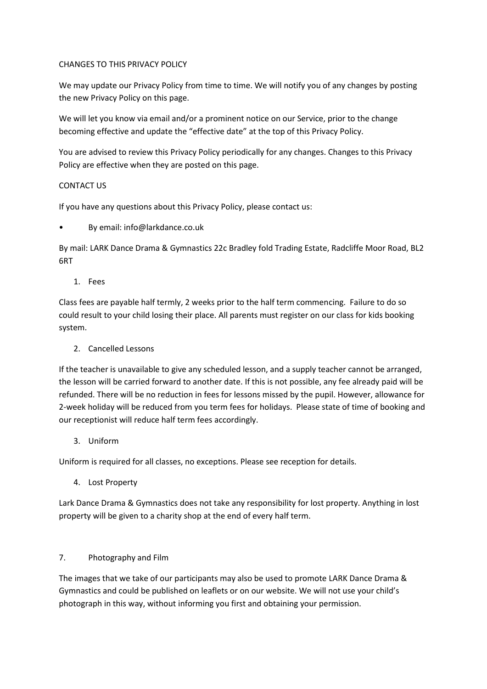## CHANGES TO THIS PRIVACY POLICY

We may update our Privacy Policy from time to time. We will notify you of any changes by posting the new Privacy Policy on this page.

We will let you know via email and/or a prominent notice on our Service, prior to the change becoming effective and update the "effective date" at the top of this Privacy Policy.

You are advised to review this Privacy Policy periodically for any changes. Changes to this Privacy Policy are effective when they are posted on this page.

### CONTACT US

If you have any questions about this Privacy Policy, please contact us:

• By email: info@larkdance.co.uk

By mail: LARK Dance Drama & Gymnastics 22c Bradley fold Trading Estate, Radcliffe Moor Road, BL2 6RT

1. Fees

Class fees are payable half termly, 2 weeks prior to the half term commencing. Failure to do so could result to your child losing their place. All parents must register on our class for kids booking system.

2. Cancelled Lessons

If the teacher is unavailable to give any scheduled lesson, and a supply teacher cannot be arranged, the lesson will be carried forward to another date. If this is not possible, any fee already paid will be refunded. There will be no reduction in fees for lessons missed by the pupil. However, allowance for 2-week holiday will be reduced from you term fees for holidays. Please state of time of booking and our receptionist will reduce half term fees accordingly.

3. Uniform

Uniform is required for all classes, no exceptions. Please see reception for details.

4. Lost Property

Lark Dance Drama & Gymnastics does not take any responsibility for lost property. Anything in lost property will be given to a charity shop at the end of every half term.

# 7. Photography and Film

The images that we take of our participants may also be used to promote LARK Dance Drama & Gymnastics and could be published on leaflets or on our website. We will not use your child's photograph in this way, without informing you first and obtaining your permission.